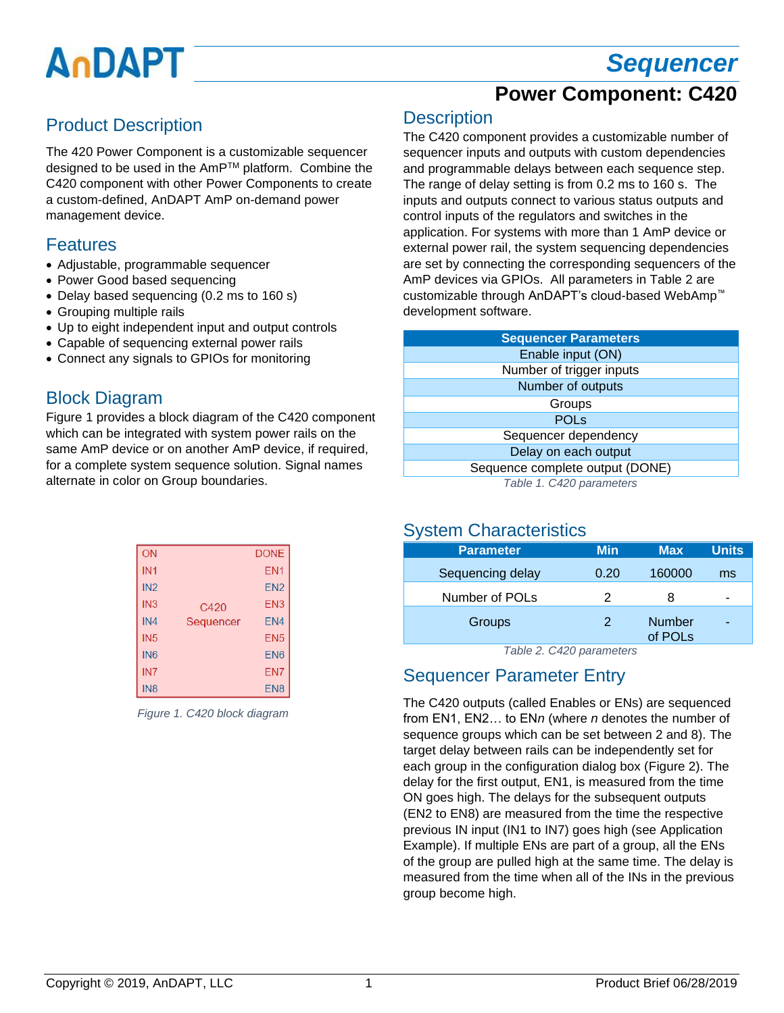# AnDAPT

## *Sequencer*

## Product Description

The 420 Power Component is a customizable sequencer designed to be used in the AmP™ platform. Combine the C420 component with other Power Components to create a custom-defined, AnDAPT AmP on-demand power management device.

### Features

- Adjustable, programmable sequencer
- Power Good based sequencing
- Delay based sequencing (0.2 ms to 160 s)
- Grouping multiple rails
- Up to eight independent input and output controls
- Capable of sequencing external power rails
- Connect any signals to GPIOs for monitoring

## Block Diagram

Figure 1 provides a block diagram of the C420 component which can be integrated with system power rails on the same AmP device or on another AmP device, if required, for a complete system sequence solution. Signal names alternate in color on Group boundaries.

| ON              |           | <b>DONE</b>     |
|-----------------|-----------|-----------------|
| IN <sub>1</sub> |           | EN <sub>1</sub> |
| IN <sub>2</sub> |           | EN <sub>2</sub> |
| IN <sub>3</sub> | C420      | EN <sub>3</sub> |
| IN <sub>4</sub> | Sequencer | EN4             |
| IN <sub>5</sub> |           | EN <sub>5</sub> |
| IN <sub>6</sub> |           | EN <sub>6</sub> |
| IN <sub>7</sub> |           | EN7             |
| IN <sub>8</sub> |           | EN <sub>8</sub> |

*Figure 1. C420 block diagram*

## **Power Component: C420**

#### **Description**

The C420 component provides a customizable number of sequencer inputs and outputs with custom dependencies and programmable delays between each sequence step. The range of delay setting is from 0.2 ms to 160 s. The inputs and outputs connect to various status outputs and control inputs of the regulators and switches in the application. For systems with more than 1 AmP device or external power rail, the system sequencing dependencies are set by connecting the corresponding sequencers of the AmP devices via GPIOs. All parameters in Table 2 are customizable through AnDAPT's cloud-based WebAmp™ development software.

| <b>Sequencer Parameters</b>     |  |  |  |  |
|---------------------------------|--|--|--|--|
| Enable input (ON)               |  |  |  |  |
| Number of trigger inputs        |  |  |  |  |
| Number of outputs               |  |  |  |  |
| Groups                          |  |  |  |  |
| <b>POLs</b>                     |  |  |  |  |
| Sequencer dependency            |  |  |  |  |
| Delay on each output            |  |  |  |  |
| Sequence complete output (DONE) |  |  |  |  |
| Table 1. C420 parameters        |  |  |  |  |

## System Characteristics

| <b>Parameter</b> | <b>Min</b> | <b>Max</b>               | <b>Units</b> |
|------------------|------------|--------------------------|--------------|
| Sequencing delay | 0.20       | 160000                   | ms           |
| Number of POLs   |            | 8                        |              |
| Groups           |            | <b>Number</b><br>of POLs |              |

*Table 2. C420 parameters*

## Sequencer Parameter Entry

The C420 outputs (called Enables or ENs) are sequenced from EN1, EN2… to EN*n* (where *n* denotes the number of sequence groups which can be set between 2 and 8). The target delay between rails can be independently set for each group in the configuration dialog box (Figure 2). The delay for the first output, EN1, is measured from the time ON goes high. The delays for the subsequent outputs (EN2 to EN8) are measured from the time the respective previous IN input (IN1 to IN7) goes high (see Application Example). If multiple ENs are part of a group, all the ENs of the group are pulled high at the same time. The delay is measured from the time when all of the INs in the previous group become high.